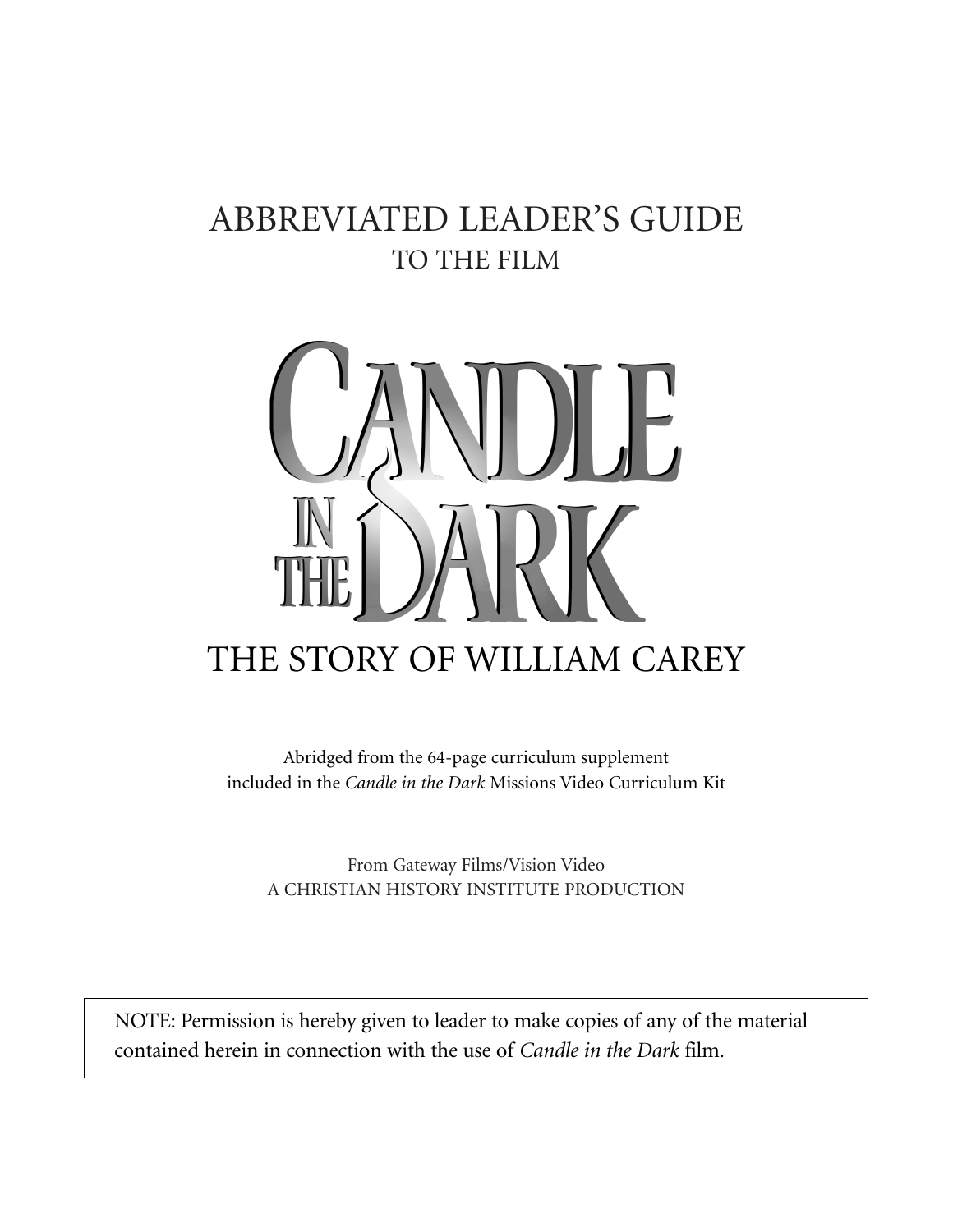### ABBREVIATED LEADER'S GUIDE TO THE FILM



Abridged from the 64-page curriculum supplement included in the *Candle in the Dark* Missions Video Curriculum Kit

From Gateway Films/Vision Video A CHRISTIAN HISTORY INSTITUTE PRODUCTION

NOTE: Permission is hereby given to leader to make copies of any of the material contained herein in connection with the use of *Candle in the Dark* film.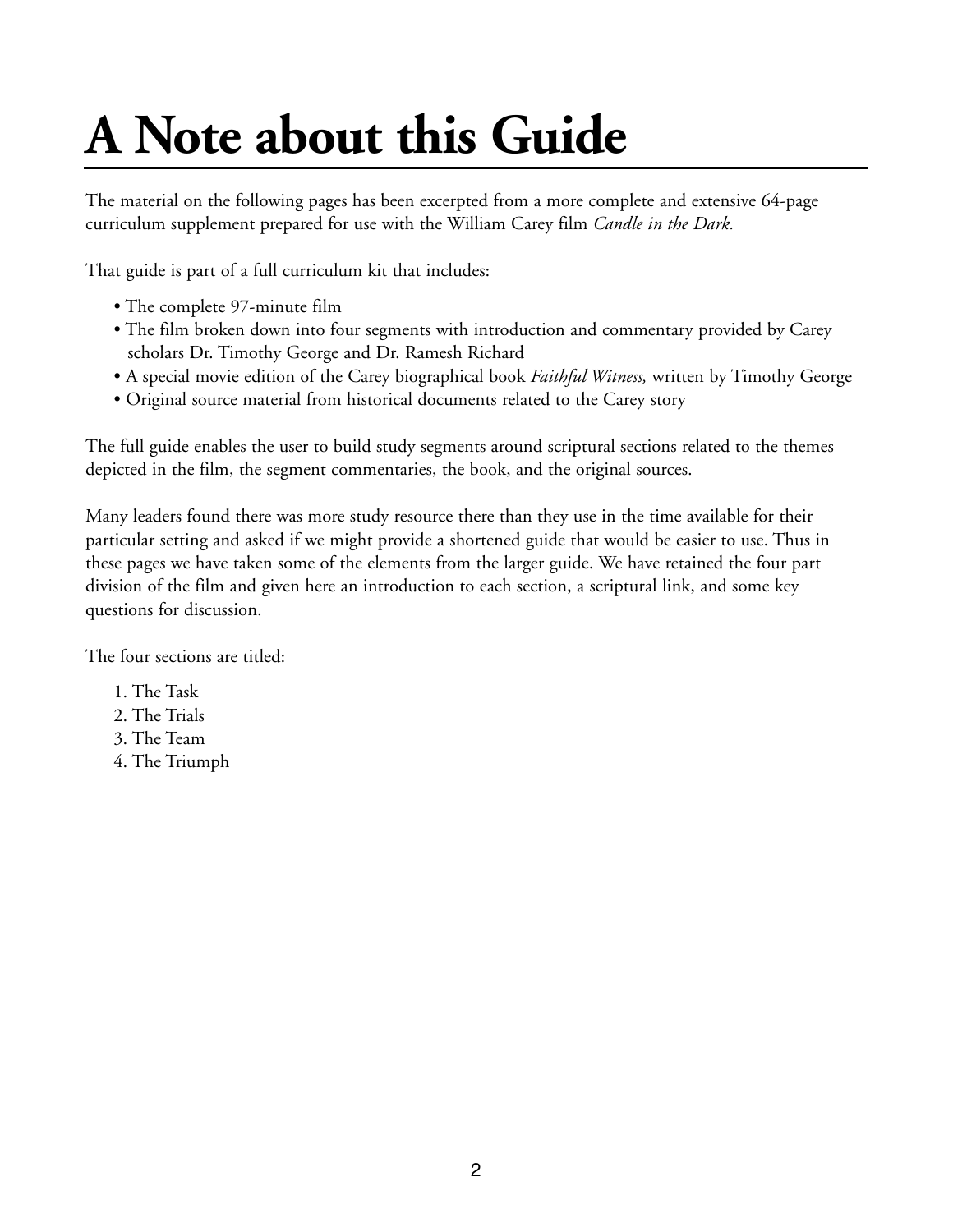### **A Note about this Guide**

The material on the following pages has been excerpted from a more complete and extensive 64-page curriculum supplement prepared for use with the William Carey film *Candle in the Dark.*

That guide is part of a full curriculum kit that includes:

- The complete 97-minute film
- The film broken down into four segments with introduction and commentary provided by Carey scholars Dr. Timothy George and Dr. Ramesh Richard
- A special movie edition of the Carey biographical book *Faithful Witness,* written by Timothy George
- Original source material from historical documents related to the Carey story

The full guide enables the user to build study segments around scriptural sections related to the themes depicted in the film, the segment commentaries, the book, and the original sources.

Many leaders found there was more study resource there than they use in the time available for their particular setting and asked if we might provide a shortened guide that would be easier to use. Thus in these pages we have taken some of the elements from the larger guide. We have retained the four part division of the film and given here an introduction to each section, a scriptural link, and some key questions for discussion.

The four sections are titled:

- 1. The Task
- 2. The Trials
- 3. The Team
- 4. The Triumph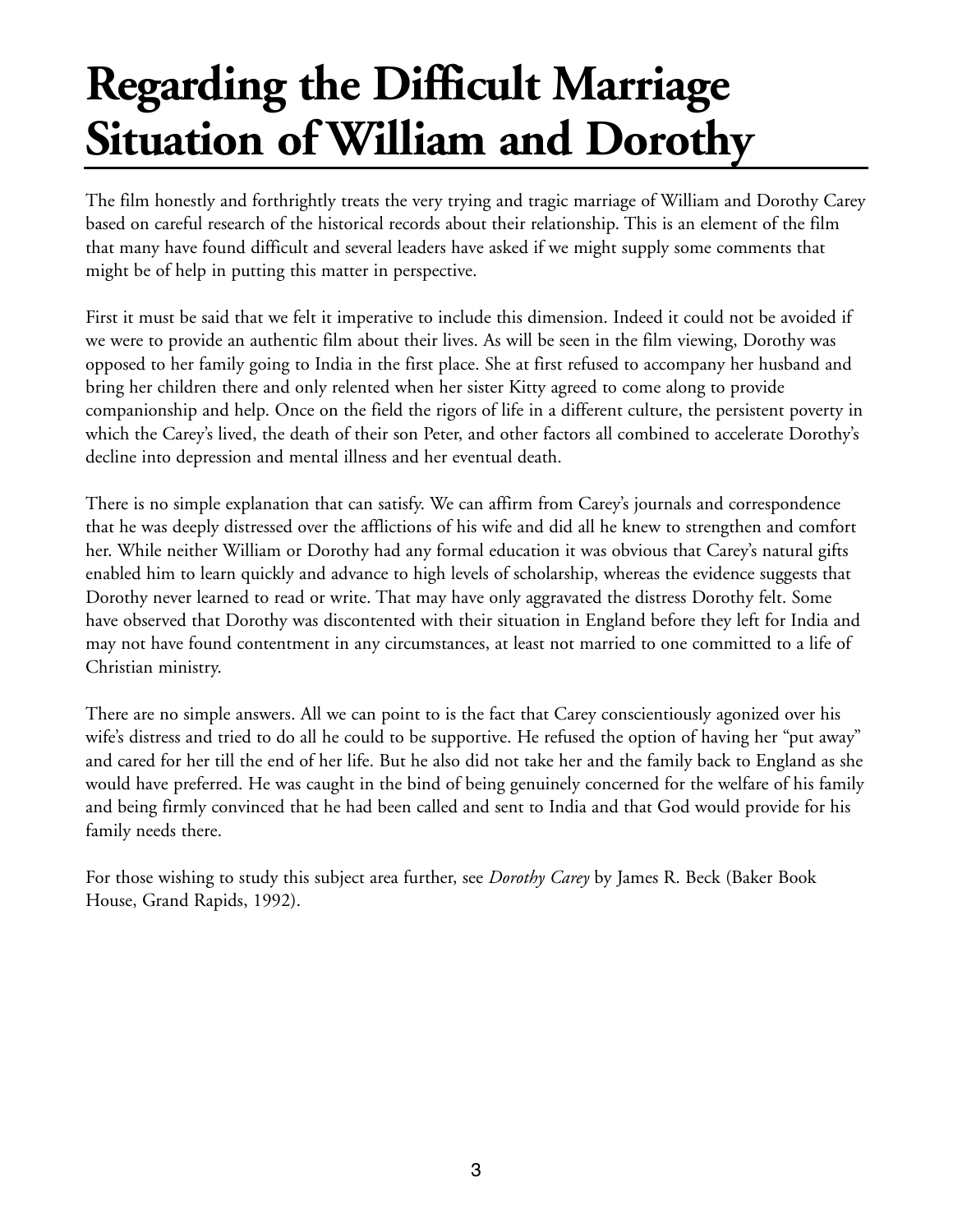### **Regarding the Difficult Marriage Situation of William and Dorothy**

The film honestly and forthrightly treats the very trying and tragic marriage of William and Dorothy Carey based on careful research of the historical records about their relationship. This is an element of the film that many have found difficult and several leaders have asked if we might supply some comments that might be of help in putting this matter in perspective.

First it must be said that we felt it imperative to include this dimension. Indeed it could not be avoided if we were to provide an authentic film about their lives. As will be seen in the film viewing, Dorothy was opposed to her family going to India in the first place. She at first refused to accompany her husband and bring her children there and only relented when her sister Kitty agreed to come along to provide companionship and help. Once on the field the rigors of life in a different culture, the persistent poverty in which the Carey's lived, the death of their son Peter, and other factors all combined to accelerate Dorothy's decline into depression and mental illness and her eventual death.

There is no simple explanation that can satisfy. We can affirm from Carey's journals and correspondence that he was deeply distressed over the afflictions of his wife and did all he knew to strengthen and comfort her. While neither William or Dorothy had any formal education it was obvious that Carey's natural gifts enabled him to learn quickly and advance to high levels of scholarship, whereas the evidence suggests that Dorothy never learned to read or write. That may have only aggravated the distress Dorothy felt. Some have observed that Dorothy was discontented with their situation in England before they left for India and may not have found contentment in any circumstances, at least not married to one committed to a life of Christian ministry.

There are no simple answers. All we can point to is the fact that Carey conscientiously agonized over his wife's distress and tried to do all he could to be supportive. He refused the option of having her "put away" and cared for her till the end of her life. But he also did not take her and the family back to England as she would have preferred. He was caught in the bind of being genuinely concerned for the welfare of his family and being firmly convinced that he had been called and sent to India and that God would provide for his family needs there.

For those wishing to study this subject area further, see *Dorothy Carey* by James R. Beck (Baker Book House, Grand Rapids, 1992).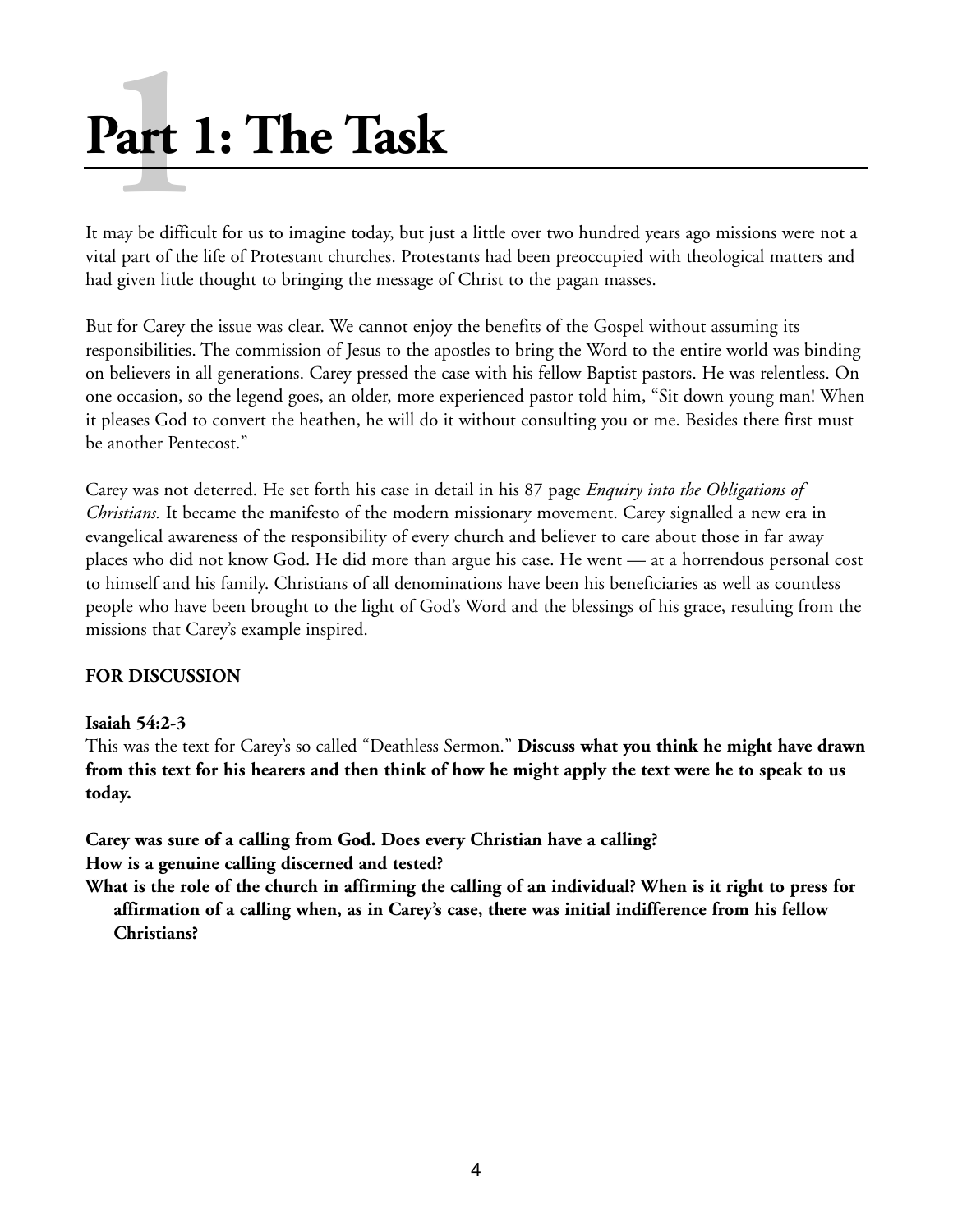# **1 Part 1: The Task**

It may be difficult for us to imagine today, but just a little over two hundred years ago missions were not a vital part of the life of Protestant churches. Protestants had been preoccupied with theological matters and had given little thought to bringing the message of Christ to the pagan masses.

But for Carey the issue was clear. We cannot enjoy the benefits of the Gospel without assuming its responsibilities. The commission of Jesus to the apostles to bring the Word to the entire world was binding on believers in all generations. Carey pressed the case with his fellow Baptist pastors. He was relentless. On one occasion, so the legend goes, an older, more experienced pastor told him, "Sit down young man! When it pleases God to convert the heathen, he will do it without consulting you or me. Besides there first must be another Pentecost."

Carey was not deterred. He set forth his case in detail in his 87 page *Enquiry into the Obligations of Christians.* It became the manifesto of the modern missionary movement. Carey signalled a new era in evangelical awareness of the responsibility of every church and believer to care about those in far away places who did not know God. He did more than argue his case. He went — at a horrendous personal cost to himself and his family. Christians of all denominations have been his beneficiaries as well as countless people who have been brought to the light of God's Word and the blessings of his grace, resulting from the missions that Carey's example inspired.

#### **FOR DISCUSSION**

#### **Isaiah 54:2-3**

This was the text for Carey's so called "Deathless Sermon." **Discuss what you think he might have drawn from this text for his hearers and then think of how he might apply the text were he to speak to us today.** 

**Carey was sure of a calling from God. Does every Christian have a calling? How is a genuine calling discerned and tested?** 

**What is the role of the church in affirming the calling of an individual? When is it right to press for affirmation of a calling when, as in Carey's case, there was initial indifference from his fellow Christians?**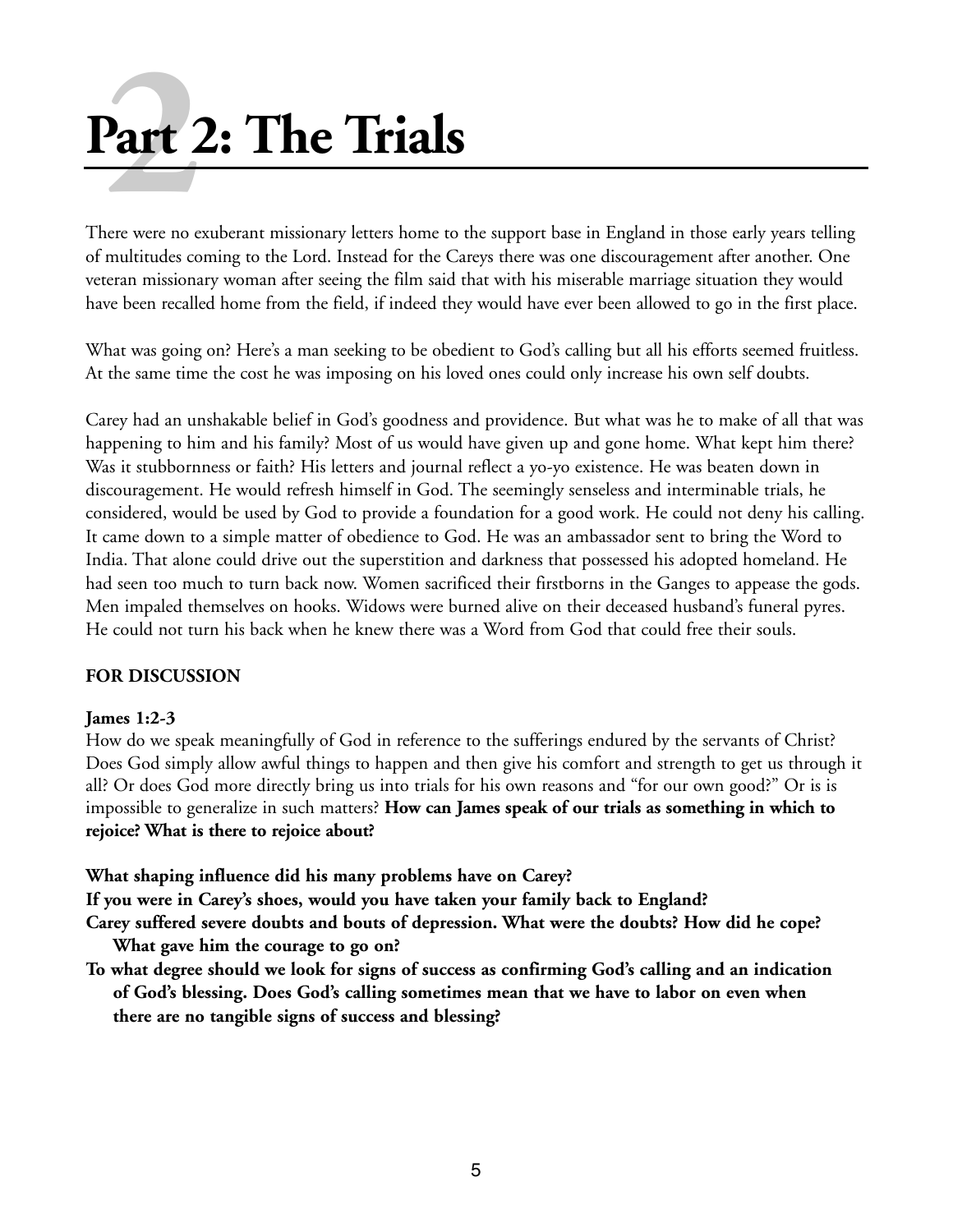# **Part 2: The Trials 2**<br>**2**<br>**art** *a*<br>**dere** were no e

There were no exuberant missionary letters home to the support base in England in those early years telling of multitudes coming to the Lord. Instead for the Careys there was one discouragement after another. One veteran missionary woman after seeing the film said that with his miserable marriage situation they would have been recalled home from the field, if indeed they would have ever been allowed to go in the first place.

What was going on? Here's a man seeking to be obedient to God's calling but all his efforts seemed fruitless. At the same time the cost he was imposing on his loved ones could only increase his own self doubts.

Carey had an unshakable belief in God's goodness and providence. But what was he to make of all that was happening to him and his family? Most of us would have given up and gone home. What kept him there? Was it stubbornness or faith? His letters and journal reflect a yo-yo existence. He was beaten down in discouragement. He would refresh himself in God. The seemingly senseless and interminable trials, he considered, would be used by God to provide a foundation for a good work. He could not deny his calling. It came down to a simple matter of obedience to God. He was an ambassador sent to bring the Word to India. That alone could drive out the superstition and darkness that possessed his adopted homeland. He had seen too much to turn back now. Women sacrificed their firstborns in the Ganges to appease the gods. Men impaled themselves on hooks. Widows were burned alive on their deceased husband's funeral pyres. He could not turn his back when he knew there was a Word from God that could free their souls.

#### **FOR DISCUSSION**

#### **James 1:2-3**

How do we speak meaningfully of God in reference to the sufferings endured by the servants of Christ? Does God simply allow awful things to happen and then give his comfort and strength to get us through it all? Or does God more directly bring us into trials for his own reasons and "for our own good?" Or is is impossible to generalize in such matters? **How can James speak of our trials as something in which to rejoice? What is there to rejoice about?**

**What shaping influence did his many problems have on Carey?**

**If you were in Carey's shoes, would you have taken your family back to England?**

- **Carey suffered severe doubts and bouts of depression. What were the doubts? How did he cope? What gave him the courage to go on?**
- **To what degree should we look for signs of success as confirming God's calling and an indication of God's blessing. Does God's calling sometimes mean that we have to labor on even when there are no tangible signs of success and blessing?**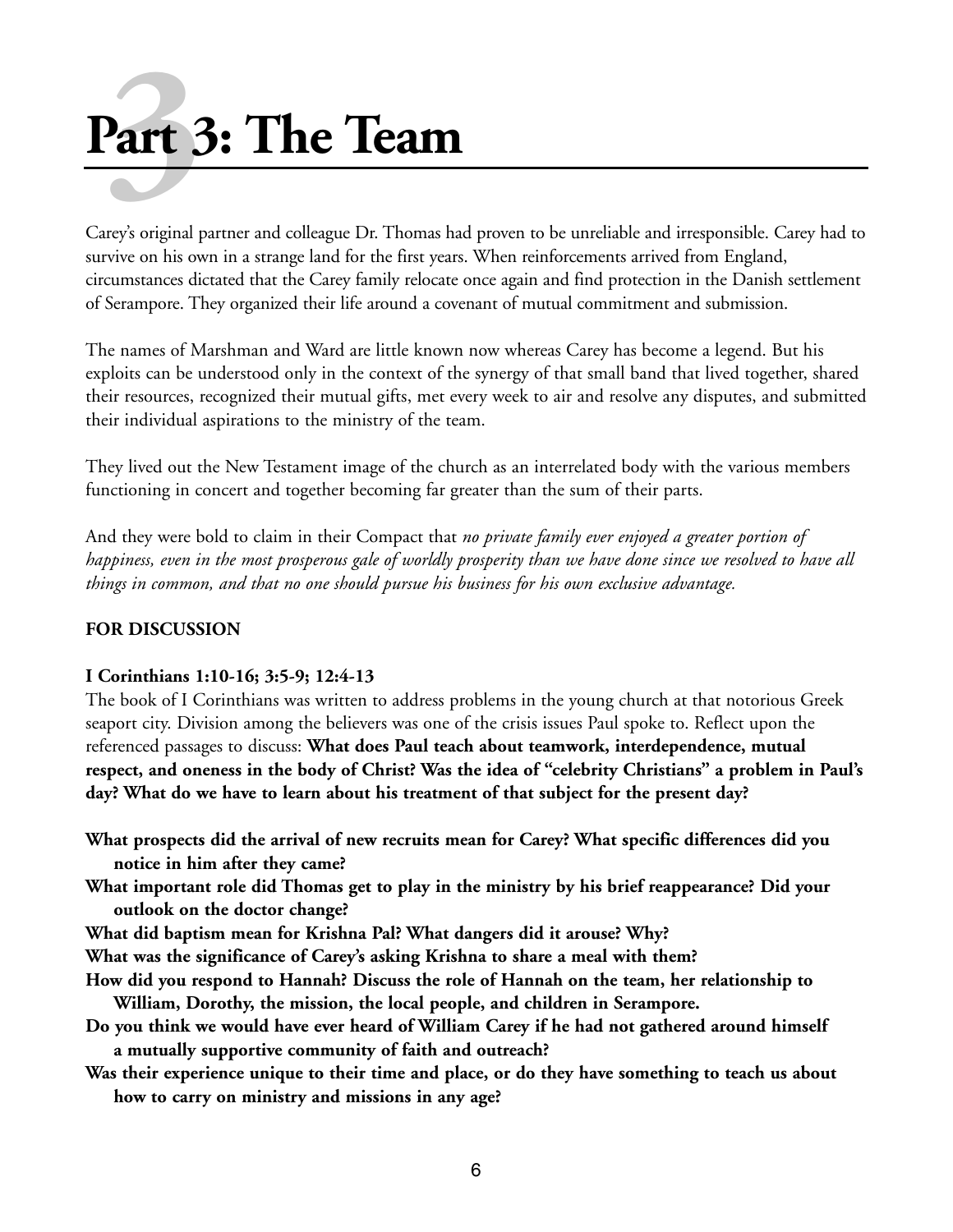# **Part 3: The Team art**

Carey's original partner and colleague Dr. Thomas had proven to be unreliable and irresponsible. Carey had to survive on his own in a strange land for the first years. When reinforcements arrived from England, circumstances dictated that the Carey family relocate once again and find protection in the Danish settlement of Serampore. They organized their life around a covenant of mutual commitment and submission.

The names of Marshman and Ward are little known now whereas Carey has become a legend. But his exploits can be understood only in the context of the synergy of that small band that lived together, shared their resources, recognized their mutual gifts, met every week to air and resolve any disputes, and submitted their individual aspirations to the ministry of the team.

They lived out the New Testament image of the church as an interrelated body with the various members functioning in concert and together becoming far greater than the sum of their parts.

And they were bold to claim in their Compact that *no private family ever enjoyed a greater portion of happiness, even in the most prosperous gale of worldly prosperity than we have done since we resolved to have all things in common, and that no one should pursue his business for his own exclusive advantage.* 

#### **FOR DISCUSSION**

#### **I Corinthians 1:10-16; 3:5-9; 12:4-13**

The book of I Corinthians was written to address problems in the young church at that notorious Greek seaport city. Division among the believers was one of the crisis issues Paul spoke to. Reflect upon the referenced passages to discuss: **What does Paul teach about teamwork, interdependence, mutual respect, and oneness in the body of Christ? Was the idea of "celebrity Christians" a problem in Paul's day? What do we have to learn about his treatment of that subject for the present day?**

**What prospects did the arrival of new recruits mean for Carey? What specific differences did you notice in him after they came?**

- **What important role did Thomas get to play in the ministry by his brief reappearance? Did your outlook on the doctor change?**
- **What did baptism mean for Krishna Pal? What dangers did it arouse? Why?**
- **What was the significance of Carey's asking Krishna to share a meal with them?**
- **How did you respond to Hannah? Discuss the role of Hannah on the team, her relationship to William, Dorothy, the mission, the local people, and children in Serampore.**
- **Do you think we would have ever heard of William Carey if he had not gathered around himself a mutually supportive community of faith and outreach?**
- **Was their experience unique to their time and place, or do they have something to teach us about how to carry on ministry and missions in any age?**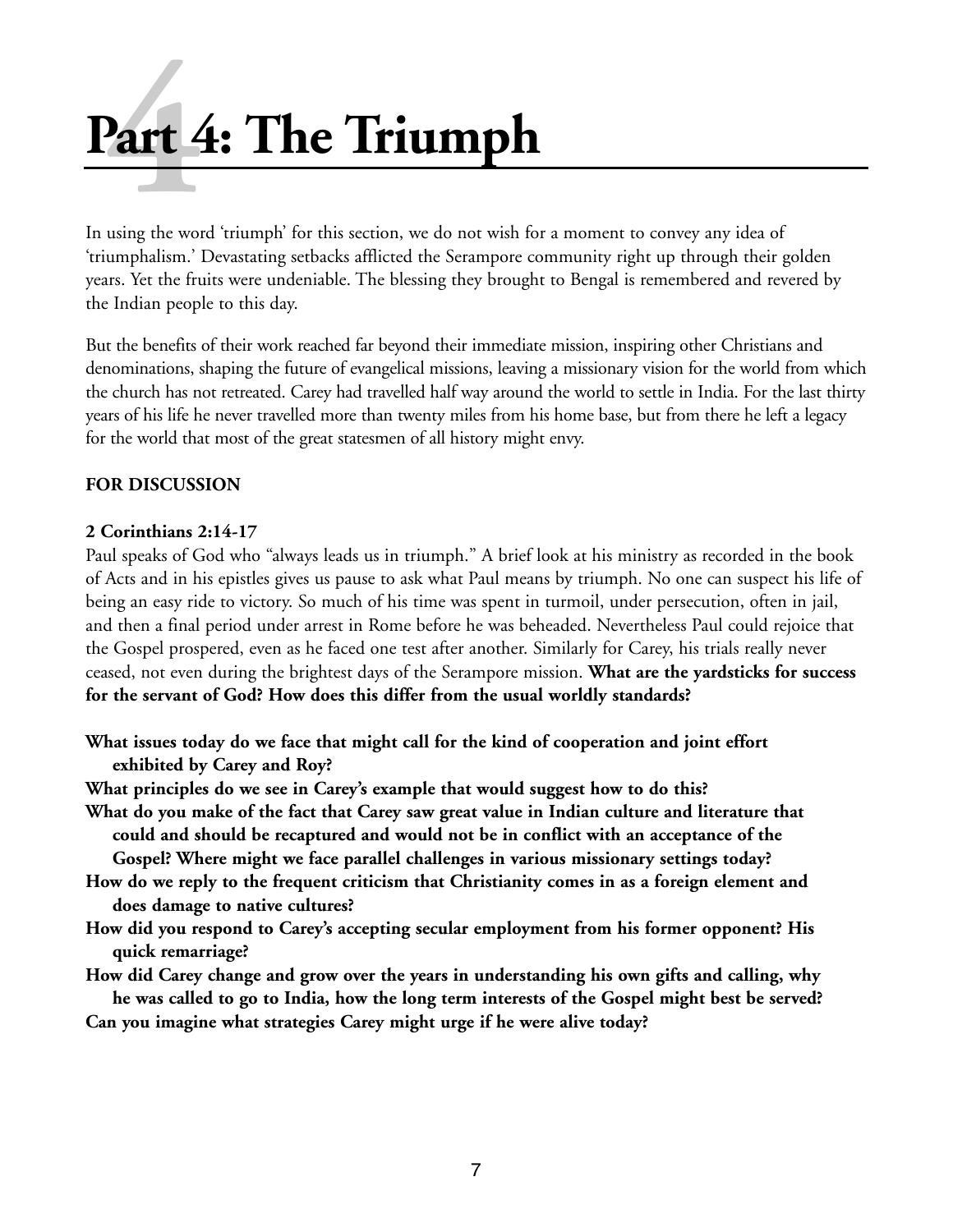# **Part 4: The Triumph art** 4

In using the word 'triumph' for this section, we do not wish for a moment to convey any idea of 'triumphalism.' Devastating setbacks afflicted the Serampore community right up through their golden years. Yet the fruits were undeniable. The blessing they brought to Bengal is remembered and revered by the Indian people to this day.

But the benefits of their work reached far beyond their immediate mission, inspiring other Christians and denominations, shaping the future of evangelical missions, leaving a missionary vision for the world from which the church has not retreated. Carey had travelled half way around the world to settle in India. For the last thirty years of his life he never travelled more than twenty miles from his home base, but from there he left a legacy for the world that most of the great statesmen of all history might envy.

#### **FOR DISCUSSION**

#### **2 Corinthians 2:14-17**

Paul speaks of God who "always leads us in triumph." A brief look at his ministry as recorded in the book of Acts and in his epistles gives us pause to ask what Paul means by triumph. No one can suspect his life of being an easy ride to victory. So much of his time was spent in turmoil, under persecution, often in jail, and then a final period under arrest in Rome before he was beheaded. Nevertheless Paul could rejoice that the Gospel prospered, even as he faced one test after another. Similarly for Carey, his trials really never ceased, not even during the brightest days of the Serampore mission. **What are the yardsticks for success for the servant of God? How does this differ from the usual worldly standards?**

- **What issues today do we face that might call for the kind of cooperation and joint effort exhibited by Carey and Roy?**
- **What principles do we see in Carey's example that would suggest how to do this?**
- **What do you make of the fact that Carey saw great value in Indian culture and literature that could and should be recaptured and would not be in conflict with an acceptance of the Gospel? Where might we face parallel challenges in various missionary settings today?**
- **How do we reply to the frequent criticism that Christianity comes in as a foreign element and does damage to native cultures?**
- **How did you respond to Carey's accepting secular employment from his former opponent? His quick remarriage?**
- **How did Carey change and grow over the years in understanding his own gifts and calling, why he was called to go to India, how the long term interests of the Gospel might best be served? Can you imagine what strategies Carey might urge if he were alive today?**